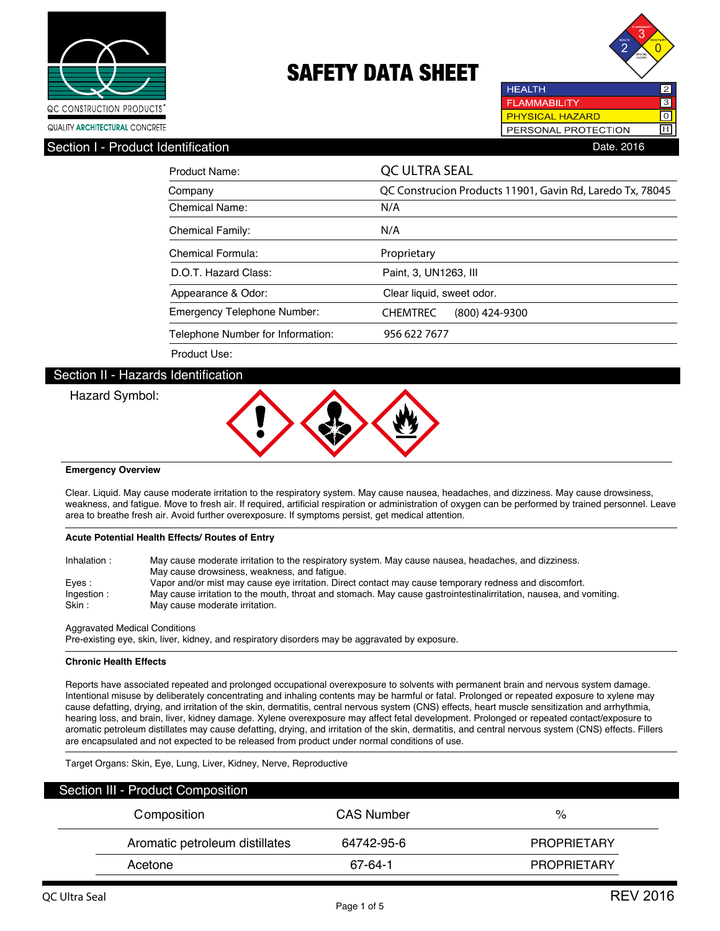



0 H

**PHYSICAL HAZARD** PERSONAL PROTECTION

**HEALTH** 

Section I - Product Identification **Date. 2016** Contract in the Section Date. 2016

| Product Name:                     | QC ULTRA SEAL                                             |
|-----------------------------------|-----------------------------------------------------------|
| Company                           | QC Construcion Products 11901, Gavin Rd, Laredo Tx, 78045 |
| <b>Chemical Name:</b>             | N/A                                                       |
| <b>Chemical Family:</b>           | N/A                                                       |
| Chemical Formula:                 | Proprietary                                               |
| D.O.T. Hazard Class:              | Paint, 3, UN1263, III                                     |
| Appearance & Odor:                | Clear liquid, sweet odor.                                 |
| Emergency Telephone Number:       | (800) 424-9300<br><b>CHEMTREC</b>                         |
| Telephone Number for Information: | 956 622 7677                                              |
| Product Use:                      |                                                           |

## Section II - Hazards Identification

Hazard Symbol:



### **Emergency Overview**

Clear. Liquid. May cause moderate irritation to the respiratory system. May cause nausea, headaches, and dizziness. May cause drowsiness, weakness, and fatigue. Move to fresh air. If required, artificial respiration or administration of oxygen can be performed by trained personnel. Leave area to breathe fresh air. Avoid further overexposure. If symptoms persist, get medical attention.

### **Acute Potential Health Effects/ Routes of Entry**

| Inhalation: | May cause moderate irritation to the respiratory system. May cause nausea, headaches, and dizziness.<br>May cause drowsiness, weakness, and fatique. |
|-------------|------------------------------------------------------------------------------------------------------------------------------------------------------|
| Eves:       | Vapor and/or mist may cause eye irritation. Direct contact may cause temporary redness and discomfort.                                               |
| Ingestion:  | May cause irritation to the mouth, throat and stomach. May cause gastrointestinalirritation, nausea, and vomiting.                                   |
| Skin :      | May cause moderate irritation.                                                                                                                       |

#### Aggravated Medical Conditions

Pre-existing eye, skin, liver, kidney, and respiratory disorders may be aggravated by exposure.

#### **Chronic Health Effects**

Reports have associated repeated and prolonged occupational overexposure to solvents with permanent brain and nervous system damage. Intentional misuse by deliberately concentrating and inhaling contents may be harmful or fatal. Prolonged or repeated exposure to xylene may cause defatting, drying, and irritation of the skin, dermatitis, central nervous system (CNS) effects, heart muscle sensitization and arrhythmia, hearing loss, and brain, liver, kidney damage. Xylene overexposure may affect fetal development. Prolonged or repeated contact/exposure to aromatic petroleum distillates may cause defatting, drying, and irritation of the skin, dermatitis, and central nervous system (CNS) effects. Fillers are encapsulated and not expected to be released from product under normal conditions of use.

Target Organs: Skin, Eye, Lung, Liver, Kidney, Nerve, Reproductive

| Section III - Product Composition |                   |                    |
|-----------------------------------|-------------------|--------------------|
| Composition                       | <b>CAS Number</b> | %                  |
| Aromatic petroleum distillates    | 64742-95-6        | <b>PROPRIETARY</b> |
| Acetone                           | 67-64-1           | <b>PROPRIETARY</b> |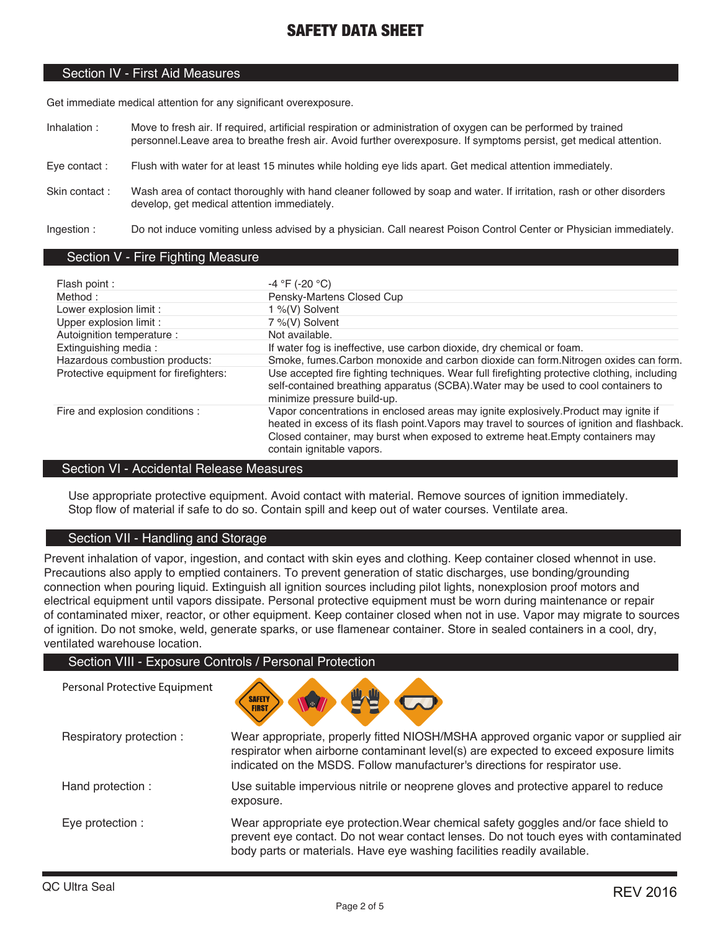### Section IV - First Aid Measures

Get immediate medical attention for any significant overexposure.

- Inhalation : Move to fresh air. If required, artificial respiration or administration of oxygen can be performed by trained personnel.Leave area to breathe fresh air. Avoid further overexposure. If symptoms persist, get medical attention.
- Eye contact : Flush with water for at least 15 minutes while holding eye lids apart. Get medical attention immediately.
- Skin contact : Wash area of contact thoroughly with hand cleaner followed by soap and water. If irritation, rash or other disorders develop, get medical attention immediately.

Ingestion : Do not induce vomiting unless advised by a physician. Call nearest Poison Control Center or Physician immediately.

### Section V - Fire Fighting Measure

| Flash point:                           | $-4 °F (-20 °C)$                                                                                                                                                                                                                                                                                    |
|----------------------------------------|-----------------------------------------------------------------------------------------------------------------------------------------------------------------------------------------------------------------------------------------------------------------------------------------------------|
| Method:                                | Pensky-Martens Closed Cup                                                                                                                                                                                                                                                                           |
| Lower explosion limit :                | 1 %(V) Solvent                                                                                                                                                                                                                                                                                      |
| Upper explosion limit :                | 7 %(V) Solvent                                                                                                                                                                                                                                                                                      |
| Autoignition temperature :             | Not available.                                                                                                                                                                                                                                                                                      |
| Extinguishing media:                   | If water fog is ineffective, use carbon dioxide, dry chemical or foam.                                                                                                                                                                                                                              |
| Hazardous combustion products:         | Smoke, fumes. Carbon monoxide and carbon dioxide can form. Nitrogen oxides can form.                                                                                                                                                                                                                |
| Protective equipment for firefighters: | Use accepted fire fighting techniques. Wear full firefighting protective clothing, including<br>self-contained breathing apparatus (SCBA). Water may be used to cool containers to<br>minimize pressure build-up.                                                                                   |
| Fire and explosion conditions :        | Vapor concentrations in enclosed areas may ignite explosively. Product may ignite if<br>heated in excess of its flash point. Vapors may travel to sources of ignition and flashback.<br>Closed container, may burst when exposed to extreme heat. Empty containers may<br>contain ignitable vapors. |

### Section VI - Accidental Release Measures

Use appropriate protective equipment. Avoid contact with material. Remove sources of ignition immediately. Stop flow of material if safe to do so. Contain spill and keep out of water courses. Ventilate area.

## Section VII - Handling and Storage

Personal Protective Equipment

Prevent inhalation of vapor, ingestion, and contact with skin eyes and clothing. Keep container closed whennot in use. Precautions also apply to emptied containers. To prevent generation of static discharges, use bonding/grounding connection when pouring liquid. Extinguish all ignition sources including pilot lights, nonexplosion proof motors and electrical equipment until vapors dissipate. Personal protective equipment must be worn during maintenance or repair of contaminated mixer, reactor, or other equipment. Keep container closed when not in use. Vapor may migrate to sources of ignition. Do not smoke, weld, generate sparks, or use flamenear container. Store in sealed containers in a cool, dry, ventilated warehouse location.

### Section VIII - Exposure Controls / Personal Protection



| Respiratory protection: | Wear appropriate, properly fitted NIOSH/MSHA approved organic vapor or supplied air<br>respirator when airborne contaminant level(s) are expected to exceed exposure limits<br>indicated on the MSDS. Follow manufacturer's directions for respirator use. |
|-------------------------|------------------------------------------------------------------------------------------------------------------------------------------------------------------------------------------------------------------------------------------------------------|
| Hand protection :       | Use suitable impervious nitrile or neoprene gloves and protective apparel to reduce<br>exposure.                                                                                                                                                           |
| Eye protection :        | Wear appropriate eye protection. Wear chemical safety goggles and/or face shield to<br>prevent eye contact. Do not wear contact lenses. Do not touch eyes with contaminated<br>body parts or materials. Have eye washing facilities readily available.     |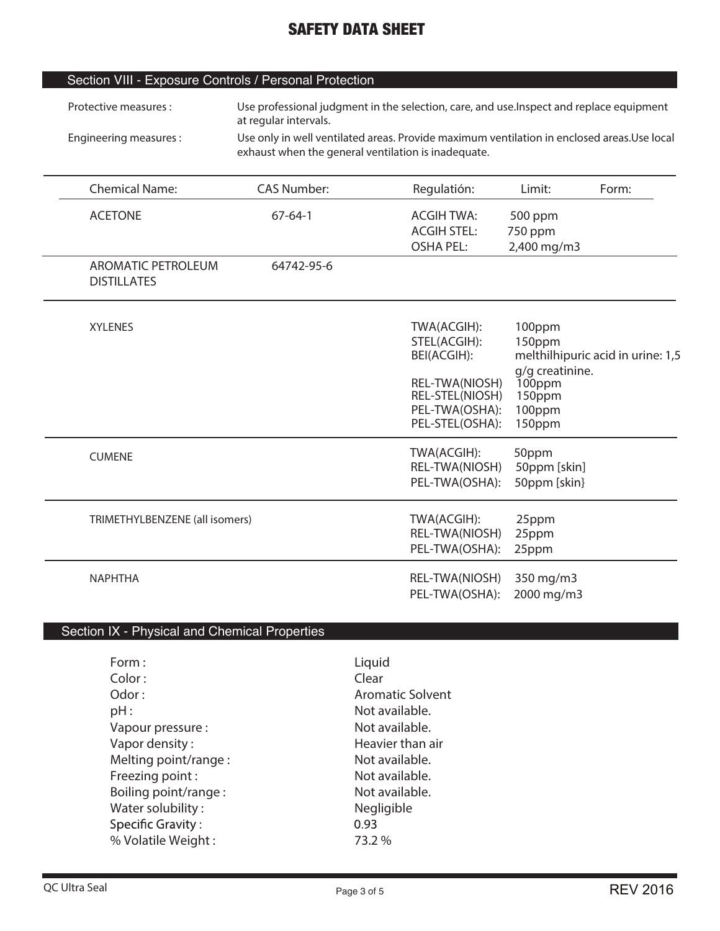|  | Section VIII - Exposure Controls / Personal Protection |
|--|--------------------------------------------------------|
|--|--------------------------------------------------------|

| Protective measures :  | Use professional judgment in the selection, care, and use. Inspect and replace equipment<br>at regular intervals.                                  |
|------------------------|----------------------------------------------------------------------------------------------------------------------------------------------------|
| Engineering measures : | Use only in well ventilated areas. Provide maximum ventilation in enclosed areas. Use local<br>exhaust when the general ventilation is inadequate. |

| <b>Chemical Name:</b>                           | <b>CAS Number:</b> | Regulatión:                                                                                                          | Limit:                                                                      | Form:                             |
|-------------------------------------------------|--------------------|----------------------------------------------------------------------------------------------------------------------|-----------------------------------------------------------------------------|-----------------------------------|
| <b>ACETONE</b>                                  | $67 - 64 - 1$      | <b>ACGIH TWA:</b><br><b>ACGIH STEL:</b><br><b>OSHA PEL:</b>                                                          | 500 ppm<br>750 ppm<br>2,400 mg/m3                                           |                                   |
| <b>AROMATIC PETROLEUM</b><br><b>DISTILLATES</b> | 64742-95-6         |                                                                                                                      |                                                                             |                                   |
| <b>XYLENES</b>                                  |                    | TWA(ACGIH):<br>STEL(ACGIH):<br>BEI(ACGIH):<br>REL-TWA(NIOSH)<br>REL-STEL(NIOSH)<br>PEL-TWA(OSHA):<br>PEL-STEL(OSHA): | 100ppm<br>150ppm<br>g/g creatinine.<br>100ppm<br>150ppm<br>100ppm<br>150ppm | melthilhipuric acid in urine: 1,5 |
| <b>CUMENE</b>                                   |                    | TWA(ACGIH):<br>REL-TWA(NIOSH)<br>PEL-TWA(OSHA):                                                                      | 50ppm<br>50ppm [skin]<br>50ppm [skin}                                       |                                   |
| TRIMETHYLBENZENE (all isomers)                  |                    | TWA(ACGIH):<br>REL-TWA(NIOSH)<br>PEL-TWA(OSHA):                                                                      | 25ppm<br>25ppm<br>25ppm                                                     |                                   |
| <b>NAPHTHA</b>                                  |                    | REL-TWA(NIOSH)<br>PEL-TWA(OSHA):                                                                                     | 350 mg/m3<br>2000 mg/m3                                                     |                                   |

# Section IX - Physical and Chemical Properties

| Form:<br>Color:          | Liquid<br>Clear         |
|--------------------------|-------------------------|
| Odor:                    | <b>Aromatic Solvent</b> |
| pH:                      | Not available.          |
| Vapour pressure :        | Not available.          |
| Vapor density:           | Heavier than air        |
| Melting point/range:     | Not available.          |
| Freezing point:          | Not available.          |
| Boiling point/range:     | Not available.          |
| Water solubility:        | Negligible              |
| <b>Specific Gravity:</b> | 0.93                    |
| % Volatile Weight:       | 73.2 %                  |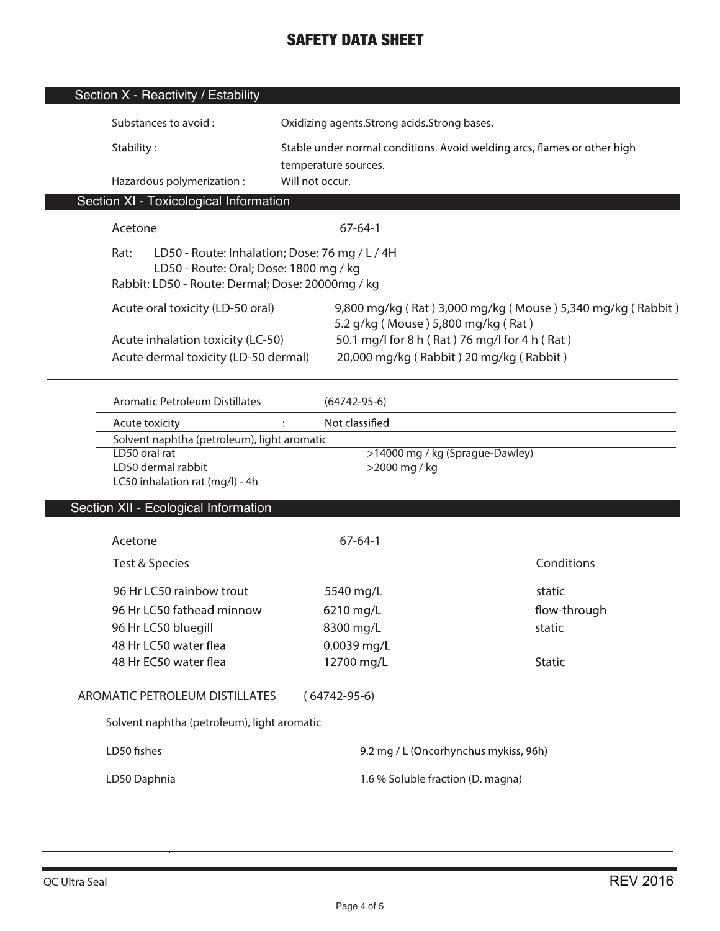| Section X - Reactivity / Estability                                                                                                                  |                 |                                                                                                  |                                                            |
|------------------------------------------------------------------------------------------------------------------------------------------------------|-----------------|--------------------------------------------------------------------------------------------------|------------------------------------------------------------|
| Substances to avoid:                                                                                                                                 |                 | Oxidizing agents. Strong acids. Strong bases.                                                    |                                                            |
| Stability:                                                                                                                                           |                 | Stable under normal conditions. Avoid welding arcs, flames or other high<br>temperature sources. |                                                            |
| Hazardous polymerization:                                                                                                                            | Will not occur. |                                                                                                  |                                                            |
| Section XI - Toxicological Information                                                                                                               |                 |                                                                                                  |                                                            |
| Acetone                                                                                                                                              |                 | $67 - 64 - 1$                                                                                    |                                                            |
| Rat:<br>LD50 - Route: Inhalation; Dose: 76 mg / L / 4H<br>LD50 - Route: Oral; Dose: 1800 mg / kg<br>Rabbit: LD50 - Route: Dermal; Dose: 20000mg / kg |                 |                                                                                                  |                                                            |
| Acute oral toxicity (LD-50 oral)                                                                                                                     |                 | 5.2 g/kg (Mouse) 5,800 mg/kg (Rat)                                                               | 9,800 mg/kg (Rat) 3,000 mg/kg (Mouse) 5,340 mg/kg (Rabbit) |
| Acute inhalation toxicity (LC-50)<br>Acute dermal toxicity (LD-50 dermal)                                                                            |                 | 50.1 mg/l for 8 h (Rat) 76 mg/l for 4 h (Rat)<br>20,000 mg/kg (Rabbit) 20 mg/kg (Rabbit)         |                                                            |
| Aromatic Petroleum Distillates                                                                                                                       |                 | $(64742 - 95 - 6)$                                                                               |                                                            |
| Acute toxicity                                                                                                                                       |                 | Not classified                                                                                   |                                                            |
| Solvent naphtha (petroleum), light aromatic                                                                                                          |                 |                                                                                                  |                                                            |
| LD50 oral rat<br>LD50 dermal rabbit                                                                                                                  |                 | >14000 mg / kg (Sprague-Dawley)<br>>2000 mg / kg                                                 |                                                            |
| LC50 inhalation rat (mg/l) - 4h                                                                                                                      |                 |                                                                                                  |                                                            |
| Section XII - Ecological Information                                                                                                                 |                 |                                                                                                  |                                                            |
| Acetone                                                                                                                                              |                 | $67 - 64 - 1$                                                                                    |                                                            |
| Test & Species                                                                                                                                       |                 |                                                                                                  | Conditions                                                 |
| 96 Hr LC50 rainbow trout                                                                                                                             |                 | 5540 mg/L                                                                                        | static                                                     |
| 96 Hr LC50 fathead minnow                                                                                                                            |                 | 6210 mg/L                                                                                        | flow-through                                               |
| 96 Hr LC50 bluegill                                                                                                                                  |                 | 8300 mg/L                                                                                        | static                                                     |
| 48 Hr LC50 water flea                                                                                                                                |                 | 0.0039 mg/L                                                                                      |                                                            |
| 48 Hr EC50 water flea                                                                                                                                |                 | 12700 mg/L                                                                                       | <b>Static</b>                                              |
| <b>AROMATIC PETROLEUM DISTILLATES</b>                                                                                                                |                 | $(64742 - 95 - 6)$                                                                               |                                                            |
| Solvent naphtha (petroleum), light aromatic                                                                                                          |                 |                                                                                                  |                                                            |
| LD50 fishes                                                                                                                                          |                 | 9.2 mg / L (Oncorhynchus mykiss, 96h)                                                            |                                                            |
| LD50 Daphnia                                                                                                                                         |                 | 1.6 % Soluble fraction (D. magna)                                                                |                                                            |
|                                                                                                                                                      |                 |                                                                                                  |                                                            |

 $\overline{\phantom{a}}$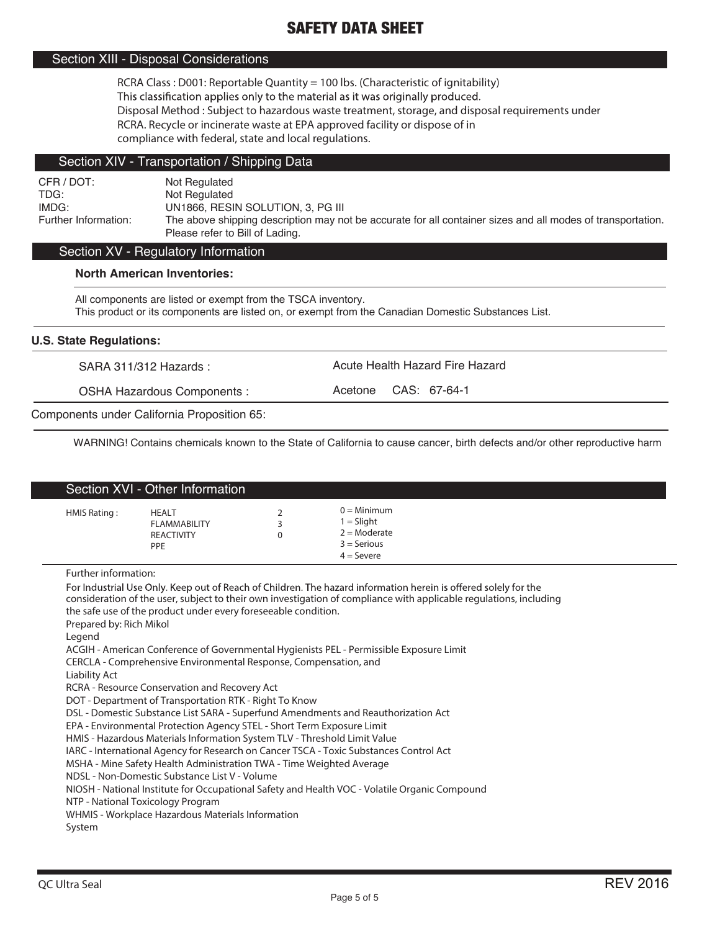## Section XIII - Disposal Considerations

**RCRA Class : D001: Reportable Quantity = 100 lbs. (Characteristic of ignitability)** This classification applies only to the material as it was originally produced. **Disposal Method : Subject to hazardous waste treatment, storage, and disposal requirements under RCRA. Recycle or incinerate waste at EPA approved facility or dispose of in compliance with federal, state and local regulations.**

### Section XIV - Transportation / Shipping Data

CFR / DOT: Not Regulated<br>TDG: Not Regulated Not Regulated IMDG: UN1866, RESIN SOLUTION, 3, PG III The above shipping description may not be accurate for all container sizes and all modes of transportation. Please refer to Bill of Lading.

## Section XV - Regulatory Information

### **North American Inventories:**

All components are listed or exempt from the TSCA inventory. This product or its components are listed on, or exempt from the Canadian Domestic Substances List.

### **U.S. State Regulations:**

SARA 311/312 Hazards : Acute Health Hazard Fire Hazard

OSHA Hazardous Components : <br>
Acetone CAS: 67-64-1

Components under California Proposition 65:

WARNING! Contains chemicals known to the State of California to cause cancer, birth defects and/or other reproductive harm

|              | Section XVI - Other Information                                        |                                                                                  |
|--------------|------------------------------------------------------------------------|----------------------------------------------------------------------------------|
| HMIS Rating: | <b>HEALT</b><br><b>FLAMMABILITY</b><br><b>REACTIVITY</b><br><b>PPE</b> | $0 =$ Minimum<br>$1 =$ Slight<br>$2 =$ Moderate<br>$3 =$ Serious<br>$4 =$ Severe |

Further information:

For Industrial Use Only. Keep out of Reach of Children. The hazard information herein is offered solely for the consideration of the user, subject to their own investigation of compliance with applicable regulations, including the safe use of the product under every foreseeable condition. Prepared by: Rich Mikol Legend ACGIH - American Conference of Governmental Hygienists PEL - Permissible Exposure Limit CERCLA - Comprehensive Environmental Response, Compensation, and Liability Act RCRA - Resource Conservation and Recovery Act DOT - Department of Transportation RTK - Right To Know DSL - Domestic Substance List SARA - Superfund Amendments and Reauthorization Act EPA - Environmental Protection Agency STEL - Short Term Exposure Limit HMIS - Hazardous Materials Information System TLV - Threshold Limit Value IARC - International Agency for Research on Cancer TSCA - Toxic Substances Control Act MSHA - Mine Safety Health Administration TWA - Time Weighted Average NDSL - Non-Domestic Substance List V - Volume NIOSH - National Institute for Occupational Safety and Health VOC - Volatile Organic Compound NTP - National Toxicology Program WHMIS - Workplace Hazardous Materials Information System